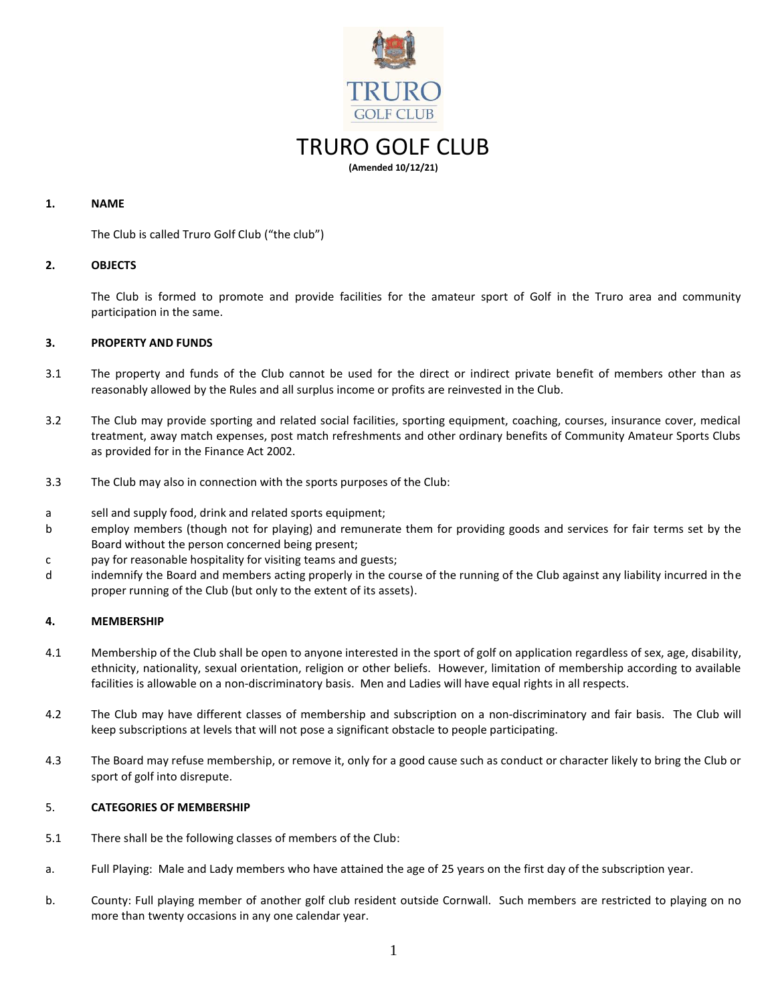

### **1. NAME**

The Club is called Truro Golf Club ("the club")

### **2. OBJECTS**

The Club is formed to promote and provide facilities for the amateur sport of Golf in the Truro area and community participation in the same.

### **3. PROPERTY AND FUNDS**

- 3.1 The property and funds of the Club cannot be used for the direct or indirect private benefit of members other than as reasonably allowed by the Rules and all surplus income or profits are reinvested in the Club.
- 3.2 The Club may provide sporting and related social facilities, sporting equipment, coaching, courses, insurance cover, medical treatment, away match expenses, post match refreshments and other ordinary benefits of Community Amateur Sports Clubs as provided for in the Finance Act 2002.
- 3.3 The Club may also in connection with the sports purposes of the Club:
- a sell and supply food, drink and related sports equipment;
- b employ members (though not for playing) and remunerate them for providing goods and services for fair terms set by the Board without the person concerned being present;
- c pay for reasonable hospitality for visiting teams and guests;
- d indemnify the Board and members acting properly in the course of the running of the Club against any liability incurred in the proper running of the Club (but only to the extent of its assets).

### **4. MEMBERSHIP**

- 4.1 Membership of the Club shall be open to anyone interested in the sport of golf on application regardless of sex, age, disability, ethnicity, nationality, sexual orientation, religion or other beliefs. However, limitation of membership according to available facilities is allowable on a non-discriminatory basis. Men and Ladies will have equal rights in all respects.
- 4.2 The Club may have different classes of membership and subscription on a non-discriminatory and fair basis. The Club will keep subscriptions at levels that will not pose a significant obstacle to people participating.
- 4.3 The Board may refuse membership, or remove it, only for a good cause such as conduct or character likely to bring the Club or sport of golf into disrepute.

### 5. **CATEGORIES OF MEMBERSHIP**

- 5.1 There shall be the following classes of members of the Club:
- a. Full Playing: Male and Lady members who have attained the age of 25 years on the first day of the subscription year.
- b. County: Full playing member of another golf club resident outside Cornwall. Such members are restricted to playing on no more than twenty occasions in any one calendar year.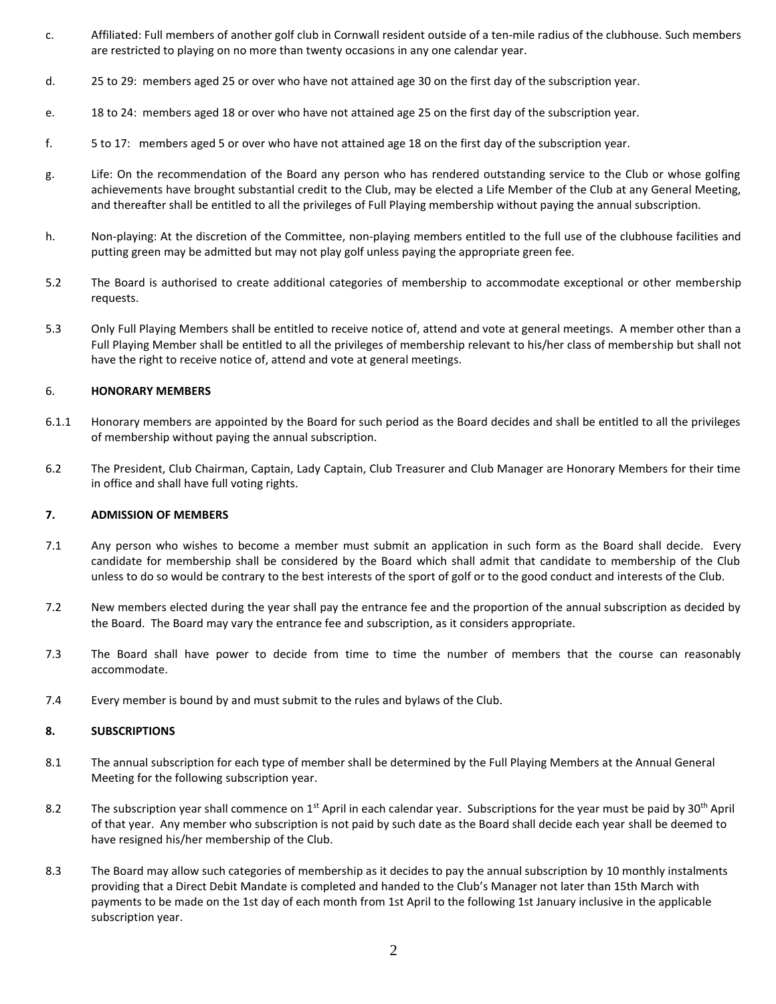- c. Affiliated: Full members of another golf club in Cornwall resident outside of a ten-mile radius of the clubhouse. Such members are restricted to playing on no more than twenty occasions in any one calendar year.
- d. 25 to 29: members aged 25 or over who have not attained age 30 on the first day of the subscription year.
- e. 18 to 24: members aged 18 or over who have not attained age 25 on the first day of the subscription year.
- f. 5 to 17: members aged 5 or over who have not attained age 18 on the first day of the subscription year.
- g. Life: On the recommendation of the Board any person who has rendered outstanding service to the Club or whose golfing achievements have brought substantial credit to the Club, may be elected a Life Member of the Club at any General Meeting, and thereafter shall be entitled to all the privileges of Full Playing membership without paying the annual subscription.
- h. Non-playing: At the discretion of the Committee, non-playing members entitled to the full use of the clubhouse facilities and putting green may be admitted but may not play golf unless paying the appropriate green fee.
- 5.2 The Board is authorised to create additional categories of membership to accommodate exceptional or other membership requests.
- 5.3 Only Full Playing Members shall be entitled to receive notice of, attend and vote at general meetings. A member other than a Full Playing Member shall be entitled to all the privileges of membership relevant to his/her class of membership but shall not have the right to receive notice of, attend and vote at general meetings.

### 6. **HONORARY MEMBERS**

- 6.1.1 Honorary members are appointed by the Board for such period as the Board decides and shall be entitled to all the privileges of membership without paying the annual subscription.
- 6.2 The President, Club Chairman, Captain, Lady Captain, Club Treasurer and Club Manager are Honorary Members for their time in office and shall have full voting rights.

### **7. ADMISSION OF MEMBERS**

- 7.1 Any person who wishes to become a member must submit an application in such form as the Board shall decide. Every candidate for membership shall be considered by the Board which shall admit that candidate to membership of the Club unless to do so would be contrary to the best interests of the sport of golf or to the good conduct and interests of the Club.
- 7.2 New members elected during the year shall pay the entrance fee and the proportion of the annual subscription as decided by the Board. The Board may vary the entrance fee and subscription, as it considers appropriate.
- 7.3 The Board shall have power to decide from time to time the number of members that the course can reasonably accommodate.
- 7.4 Every member is bound by and must submit to the rules and bylaws of the Club.

### **8. SUBSCRIPTIONS**

- 8.1 The annual subscription for each type of member shall be determined by the Full Playing Members at the Annual General Meeting for the following subscription year.
- 8.2 The subscription year shall commence on 1<sup>st</sup> April in each calendar year. Subscriptions for the year must be paid by 30<sup>th</sup> April of that year. Any member who subscription is not paid by such date as the Board shall decide each year shall be deemed to have resigned his/her membership of the Club.
- 8.3 The Board may allow such categories of membership as it decides to pay the annual subscription by 10 monthly instalments providing that a Direct Debit Mandate is completed and handed to the Club's Manager not later than 15th March with payments to be made on the 1st day of each month from 1st April to the following 1st January inclusive in the applicable subscription year.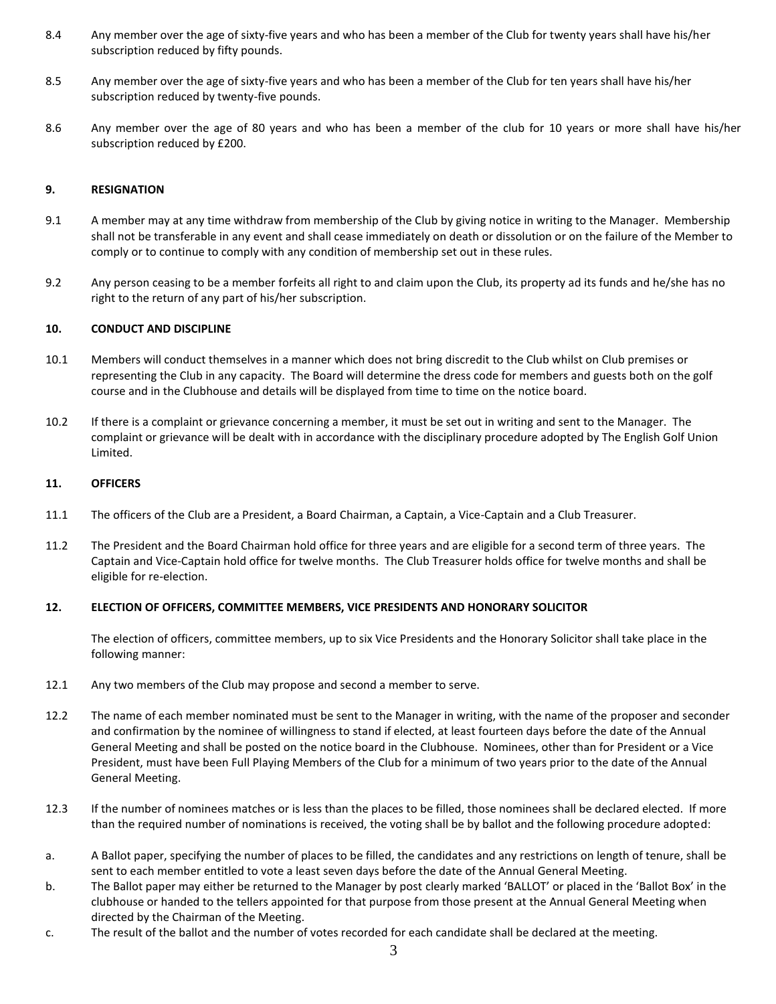- 8.4 Any member over the age of sixty-five years and who has been a member of the Club for twenty years shall have his/her subscription reduced by fifty pounds.
- 8.5 Any member over the age of sixty-five years and who has been a member of the Club for ten years shall have his/her subscription reduced by twenty-five pounds.
- 8.6 Any member over the age of 80 years and who has been a member of the club for 10 years or more shall have his/her subscription reduced by £200.

### **9. RESIGNATION**

- 9.1 A member may at any time withdraw from membership of the Club by giving notice in writing to the Manager. Membership shall not be transferable in any event and shall cease immediately on death or dissolution or on the failure of the Member to comply or to continue to comply with any condition of membership set out in these rules.
- 9.2 Any person ceasing to be a member forfeits all right to and claim upon the Club, its property ad its funds and he/she has no right to the return of any part of his/her subscription.

### **10. CONDUCT AND DISCIPLINE**

- 10.1 Members will conduct themselves in a manner which does not bring discredit to the Club whilst on Club premises or representing the Club in any capacity. The Board will determine the dress code for members and guests both on the golf course and in the Clubhouse and details will be displayed from time to time on the notice board.
- 10.2 If there is a complaint or grievance concerning a member, it must be set out in writing and sent to the Manager. The complaint or grievance will be dealt with in accordance with the disciplinary procedure adopted by The English Golf Union Limited.

### **11. OFFICERS**

- 11.1 The officers of the Club are a President, a Board Chairman, a Captain, a Vice-Captain and a Club Treasurer.
- 11.2 The President and the Board Chairman hold office for three years and are eligible for a second term of three years. The Captain and Vice-Captain hold office for twelve months. The Club Treasurer holds office for twelve months and shall be eligible for re-election.

# **12. ELECTION OF OFFICERS, COMMITTEE MEMBERS, VICE PRESIDENTS AND HONORARY SOLICITOR**

The election of officers, committee members, up to six Vice Presidents and the Honorary Solicitor shall take place in the following manner:

- 12.1 Any two members of the Club may propose and second a member to serve.
- 12.2 The name of each member nominated must be sent to the Manager in writing, with the name of the proposer and seconder and confirmation by the nominee of willingness to stand if elected, at least fourteen days before the date of the Annual General Meeting and shall be posted on the notice board in the Clubhouse. Nominees, other than for President or a Vice President, must have been Full Playing Members of the Club for a minimum of two years prior to the date of the Annual General Meeting.
- 12.3 If the number of nominees matches or is less than the places to be filled, those nominees shall be declared elected. If more than the required number of nominations is received, the voting shall be by ballot and the following procedure adopted:
- a. A Ballot paper, specifying the number of places to be filled, the candidates and any restrictions on length of tenure, shall be sent to each member entitled to vote a least seven days before the date of the Annual General Meeting.
- b. The Ballot paper may either be returned to the Manager by post clearly marked 'BALLOT' or placed in the 'Ballot Box' in the clubhouse or handed to the tellers appointed for that purpose from those present at the Annual General Meeting when directed by the Chairman of the Meeting.
- c. The result of the ballot and the number of votes recorded for each candidate shall be declared at the meeting.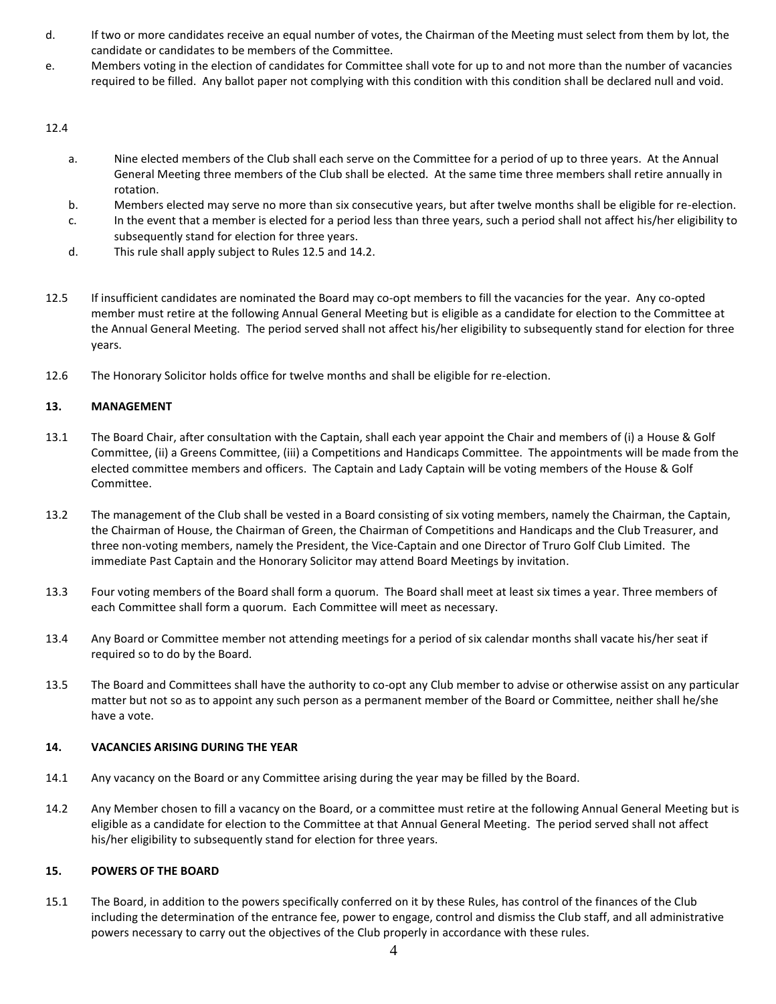- d. If two or more candidates receive an equal number of votes, the Chairman of the Meeting must select from them by lot, the candidate or candidates to be members of the Committee.
- e. Members voting in the election of candidates for Committee shall vote for up to and not more than the number of vacancies required to be filled. Any ballot paper not complying with this condition with this condition shall be declared null and void.

# 12.4

- a. Nine elected members of the Club shall each serve on the Committee for a period of up to three years. At the Annual General Meeting three members of the Club shall be elected. At the same time three members shall retire annually in rotation.
- b. Members elected may serve no more than six consecutive years, but after twelve months shall be eligible for re-election.
- c. In the event that a member is elected for a period less than three years, such a period shall not affect his/her eligibility to subsequently stand for election for three years.
- d. This rule shall apply subject to Rules 12.5 and 14.2.
- 12.5 If insufficient candidates are nominated the Board may co-opt members to fill the vacancies for the year. Any co-opted member must retire at the following Annual General Meeting but is eligible as a candidate for election to the Committee at the Annual General Meeting. The period served shall not affect his/her eligibility to subsequently stand for election for three years.
- 12.6 The Honorary Solicitor holds office for twelve months and shall be eligible for re-election.

# **13. MANAGEMENT**

- 13.1 The Board Chair, after consultation with the Captain, shall each year appoint the Chair and members of (i) a House & Golf Committee, (ii) a Greens Committee, (iii) a Competitions and Handicaps Committee. The appointments will be made from the elected committee members and officers. The Captain and Lady Captain will be voting members of the House & Golf Committee.
- 13.2 The management of the Club shall be vested in a Board consisting of six voting members, namely the Chairman, the Captain, the Chairman of House, the Chairman of Green, the Chairman of Competitions and Handicaps and the Club Treasurer, and three non-voting members, namely the President, the Vice-Captain and one Director of Truro Golf Club Limited. The immediate Past Captain and the Honorary Solicitor may attend Board Meetings by invitation.
- 13.3 Four voting members of the Board shall form a quorum. The Board shall meet at least six times a year. Three members of each Committee shall form a quorum. Each Committee will meet as necessary.
- 13.4 Any Board or Committee member not attending meetings for a period of six calendar months shall vacate his/her seat if required so to do by the Board.
- 13.5 The Board and Committees shall have the authority to co-opt any Club member to advise or otherwise assist on any particular matter but not so as to appoint any such person as a permanent member of the Board or Committee, neither shall he/she have a vote.

# **14. VACANCIES ARISING DURING THE YEAR**

- 14.1 Any vacancy on the Board or any Committee arising during the year may be filled by the Board.
- 14.2 Any Member chosen to fill a vacancy on the Board, or a committee must retire at the following Annual General Meeting but is eligible as a candidate for election to the Committee at that Annual General Meeting. The period served shall not affect his/her eligibility to subsequently stand for election for three years.

# **15. POWERS OF THE BOARD**

15.1 The Board, in addition to the powers specifically conferred on it by these Rules, has control of the finances of the Club including the determination of the entrance fee, power to engage, control and dismiss the Club staff, and all administrative powers necessary to carry out the objectives of the Club properly in accordance with these rules.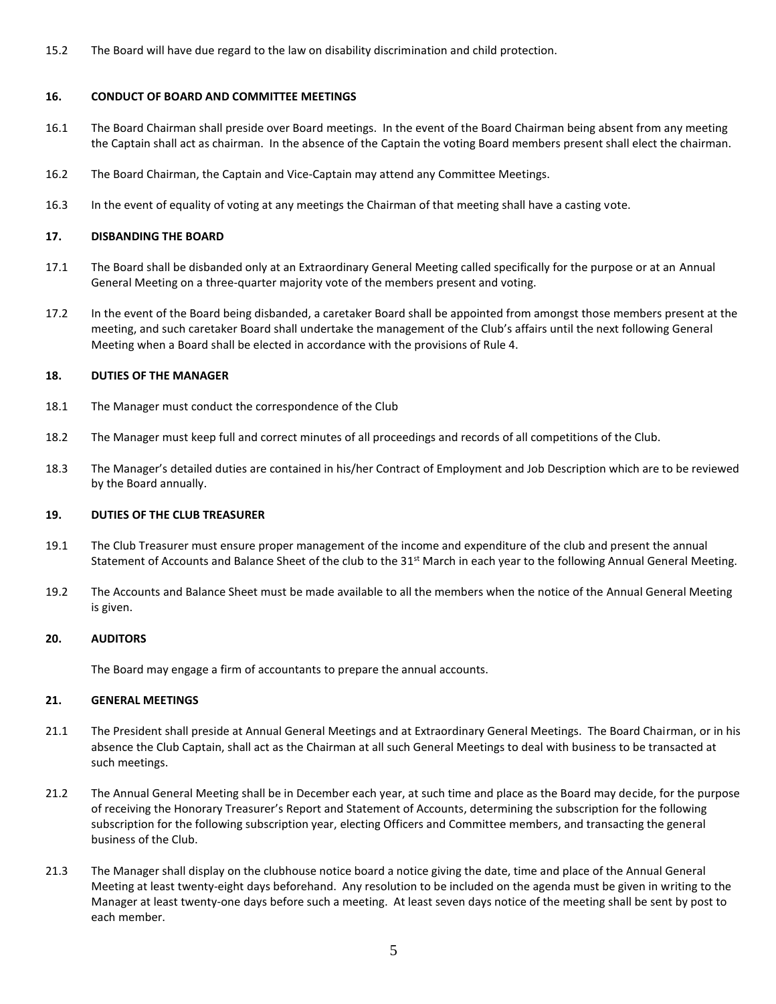15.2 The Board will have due regard to the law on disability discrimination and child protection.

### **16. CONDUCT OF BOARD AND COMMITTEE MEETINGS**

- 16.1 The Board Chairman shall preside over Board meetings. In the event of the Board Chairman being absent from any meeting the Captain shall act as chairman. In the absence of the Captain the voting Board members present shall elect the chairman.
- 16.2 The Board Chairman, the Captain and Vice-Captain may attend any Committee Meetings.
- 16.3 In the event of equality of voting at any meetings the Chairman of that meeting shall have a casting vote.

### **17. DISBANDING THE BOARD**

- 17.1 The Board shall be disbanded only at an Extraordinary General Meeting called specifically for the purpose or at an Annual General Meeting on a three-quarter majority vote of the members present and voting.
- 17.2 In the event of the Board being disbanded, a caretaker Board shall be appointed from amongst those members present at the meeting, and such caretaker Board shall undertake the management of the Club's affairs until the next following General Meeting when a Board shall be elected in accordance with the provisions of Rule 4.

### **18. DUTIES OF THE MANAGER**

- 18.1 The Manager must conduct the correspondence of the Club
- 18.2 The Manager must keep full and correct minutes of all proceedings and records of all competitions of the Club.
- 18.3 The Manager's detailed duties are contained in his/her Contract of Employment and Job Description which are to be reviewed by the Board annually.

### **19. DUTIES OF THE CLUB TREASURER**

- 19.1 The Club Treasurer must ensure proper management of the income and expenditure of the club and present the annual Statement of Accounts and Balance Sheet of the club to the 31<sup>st</sup> March in each year to the following Annual General Meeting.
- 19.2 The Accounts and Balance Sheet must be made available to all the members when the notice of the Annual General Meeting is given.

### **20. AUDITORS**

The Board may engage a firm of accountants to prepare the annual accounts.

### **21. GENERAL MEETINGS**

- 21.1 The President shall preside at Annual General Meetings and at Extraordinary General Meetings. The Board Chairman, or in his absence the Club Captain, shall act as the Chairman at all such General Meetings to deal with business to be transacted at such meetings.
- 21.2 The Annual General Meeting shall be in December each year, at such time and place as the Board may decide, for the purpose of receiving the Honorary Treasurer's Report and Statement of Accounts, determining the subscription for the following subscription for the following subscription year, electing Officers and Committee members, and transacting the general business of the Club.
- 21.3 The Manager shall display on the clubhouse notice board a notice giving the date, time and place of the Annual General Meeting at least twenty-eight days beforehand. Any resolution to be included on the agenda must be given in writing to the Manager at least twenty-one days before such a meeting. At least seven days notice of the meeting shall be sent by post to each member.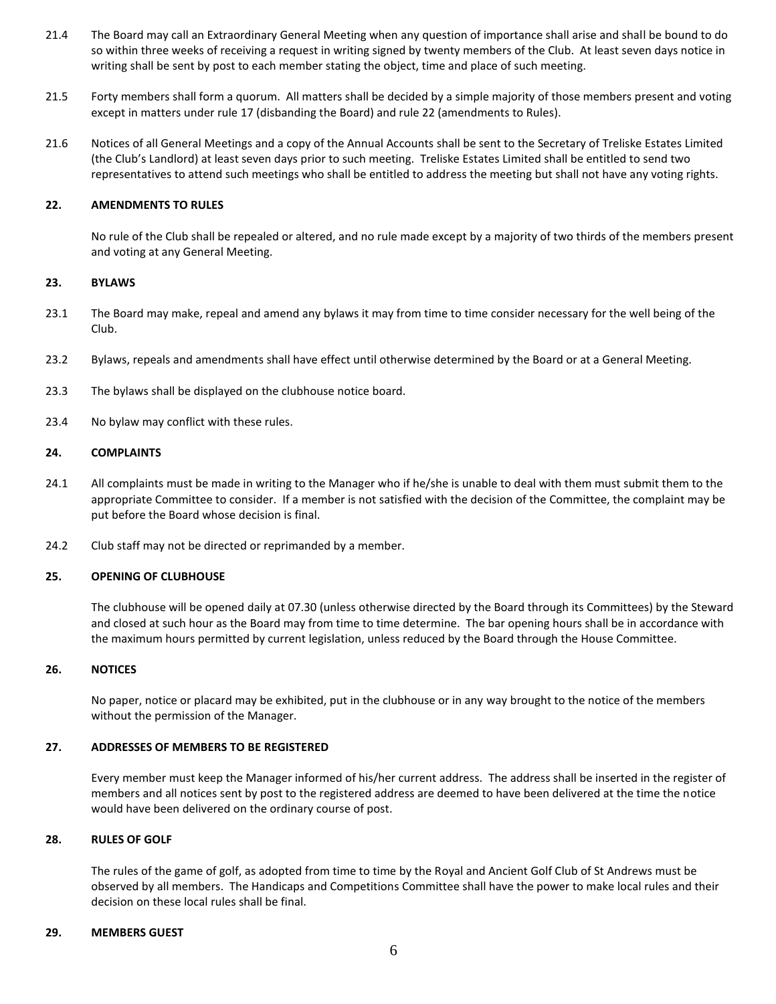- 21.4 The Board may call an Extraordinary General Meeting when any question of importance shall arise and shall be bound to do so within three weeks of receiving a request in writing signed by twenty members of the Club. At least seven days notice in writing shall be sent by post to each member stating the object, time and place of such meeting.
- 21.5 Forty members shall form a quorum. All matters shall be decided by a simple majority of those members present and voting except in matters under rule 17 (disbanding the Board) and rule 22 (amendments to Rules).
- 21.6 Notices of all General Meetings and a copy of the Annual Accounts shall be sent to the Secretary of Treliske Estates Limited (the Club's Landlord) at least seven days prior to such meeting. Treliske Estates Limited shall be entitled to send two representatives to attend such meetings who shall be entitled to address the meeting but shall not have any voting rights.

### **22. AMENDMENTS TO RULES**

No rule of the Club shall be repealed or altered, and no rule made except by a majority of two thirds of the members present and voting at any General Meeting.

### **23. BYLAWS**

- 23.1 The Board may make, repeal and amend any bylaws it may from time to time consider necessary for the well being of the Club.
- 23.2 Bylaws, repeals and amendments shall have effect until otherwise determined by the Board or at a General Meeting.
- 23.3 The bylaws shall be displayed on the clubhouse notice board.
- 23.4 No bylaw may conflict with these rules.

### **24. COMPLAINTS**

- 24.1 All complaints must be made in writing to the Manager who if he/she is unable to deal with them must submit them to the appropriate Committee to consider. If a member is not satisfied with the decision of the Committee, the complaint may be put before the Board whose decision is final.
- 24.2 Club staff may not be directed or reprimanded by a member.

# **25. OPENING OF CLUBHOUSE**

The clubhouse will be opened daily at 07.30 (unless otherwise directed by the Board through its Committees) by the Steward and closed at such hour as the Board may from time to time determine. The bar opening hours shall be in accordance with the maximum hours permitted by current legislation, unless reduced by the Board through the House Committee.

### **26. NOTICES**

No paper, notice or placard may be exhibited, put in the clubhouse or in any way brought to the notice of the members without the permission of the Manager.

### **27. ADDRESSES OF MEMBERS TO BE REGISTERED**

Every member must keep the Manager informed of his/her current address. The address shall be inserted in the register of members and all notices sent by post to the registered address are deemed to have been delivered at the time the notice would have been delivered on the ordinary course of post.

### **28. RULES OF GOLF**

The rules of the game of golf, as adopted from time to time by the Royal and Ancient Golf Club of St Andrews must be observed by all members. The Handicaps and Competitions Committee shall have the power to make local rules and their decision on these local rules shall be final.

### **29. MEMBERS GUEST**